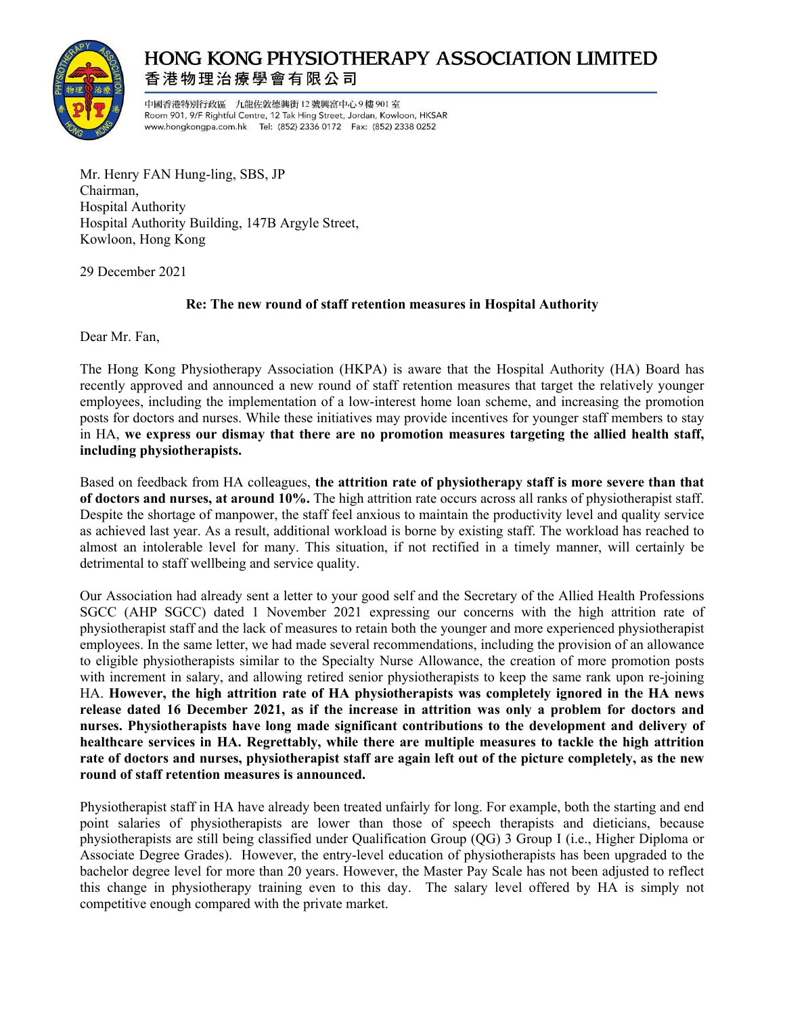

## **HONG KONG PHYSIOTHERAPY ASSOCIATION LIMITED** 香港物理治療學會有限公司

中國香港特別行政區 九龍佐敦德興街 12號興富中心9樓901室 Room 901, 9/F Rightful Centre, 12 Tak Hing Street, Jordan, Kowloon, HKSAR www.hongkongpa.com.hk Tel: (852) 2336 0172 Fax: (852) 2338 0252

Mr. Henry FAN Hung-ling, SBS, JP Chairman, Hospital Authority Hospital Authority Building, 147B Argyle Street, Kowloon, Hong Kong

29 December 2021

## **Re: The new round of staff retention measures in Hospital Authority**

Dear Mr. Fan,

The Hong Kong Physiotherapy Association (HKPA) is aware that the Hospital Authority (HA) Board has recently approved and announced a new round of staff retention measures that target the relatively younger employees, including the implementation of a low-interest home loan scheme, and increasing the promotion posts for doctors and nurses. While these initiatives may provide incentives for younger staff members to stay in HA, **we express our dismay that there are no promotion measures targeting the allied health staff, including physiotherapists.**

Based on feedback from HA colleagues, **the attrition rate of physiotherapy staff is more severe than that of doctors and nurses, at around 10%.** The high attrition rate occurs across all ranks of physiotherapist staff. Despite the shortage of manpower, the staff feel anxious to maintain the productivity level and quality service as achieved last year. As a result, additional workload is borne by existing staff. The workload has reached to almost an intolerable level for many. This situation, if not rectified in a timely manner, will certainly be detrimental to staff wellbeing and service quality.

Our Association had already sent a letter to your good self and the Secretary of the Allied Health Professions SGCC (AHP SGCC) dated 1 November 2021 expressing our concerns with the high attrition rate of physiotherapist staff and the lack of measures to retain both the younger and more experienced physiotherapist employees. In the same letter, we had made several recommendations, including the provision of an allowance to eligible physiotherapists similar to the Specialty Nurse Allowance, the creation of more promotion posts with increment in salary, and allowing retired senior physiotherapists to keep the same rank upon re-joining HA. **However, the high attrition rate of HA physiotherapists was completely ignored in the HA news release dated 16 December 2021, as if the increase in attrition was only a problem for doctors and nurses. Physiotherapists have long made significant contributions to the development and delivery of healthcare services in HA. Regrettably, while there are multiple measures to tackle the high attrition rate of doctors and nurses, physiotherapist staff are again left out of the picture completely, as the new round of staff retention measures is announced.** 

Physiotherapist staff in HA have already been treated unfairly for long. For example, both the starting and end point salaries of physiotherapists are lower than those of speech therapists and dieticians, because physiotherapists are still being classified under Qualification Group (QG) 3 Group I (i.e., Higher Diploma or Associate Degree Grades). However, the entry-level education of physiotherapists has been upgraded to the bachelor degree level for more than 20 years. However, the Master Pay Scale has not been adjusted to reflect this change in physiotherapy training even to this day. The salary level offered by HA is simply not competitive enough compared with the private market.